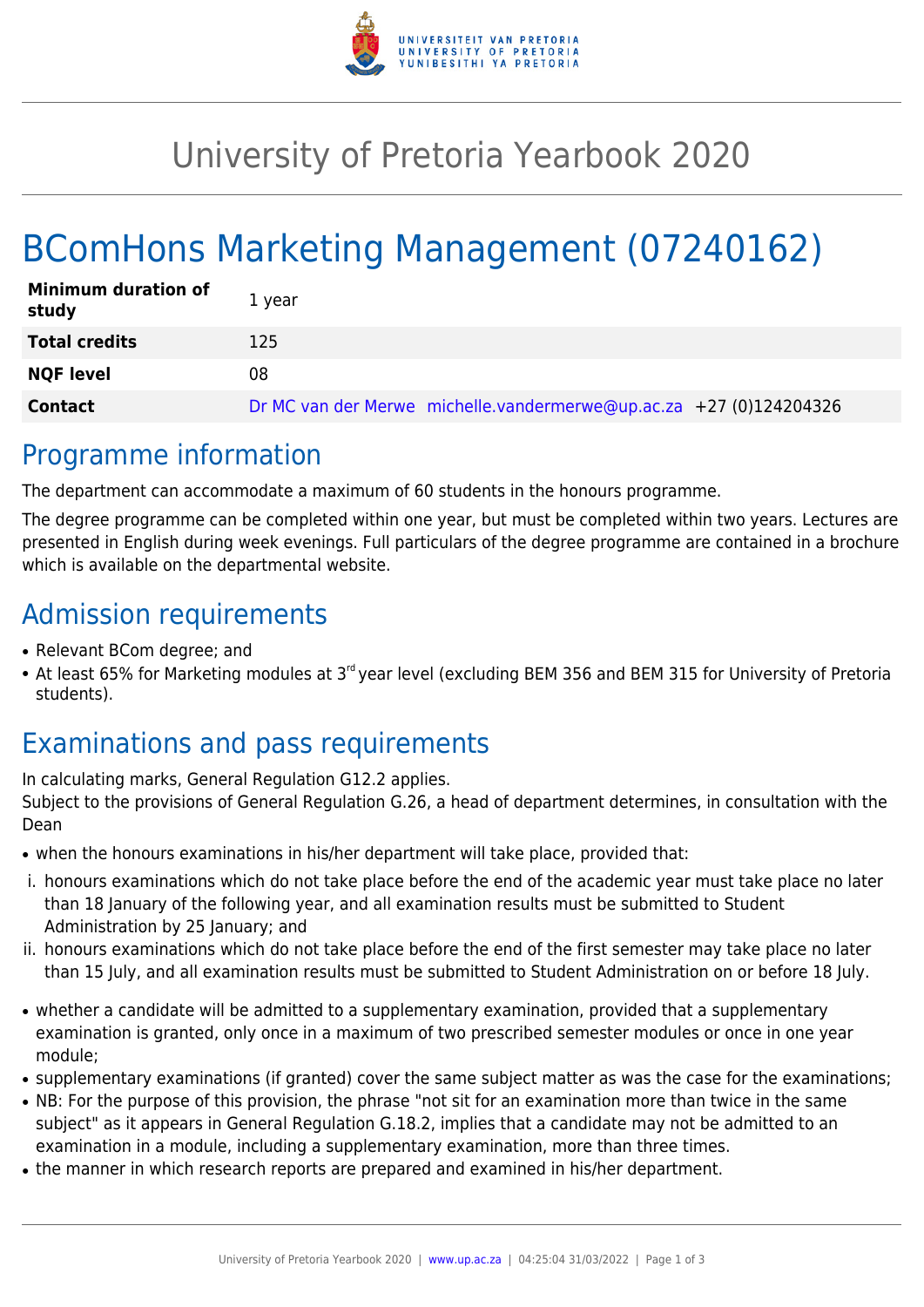

## University of Pretoria Yearbook 2020

# BComHons Marketing Management (07240162)

| <b>Minimum duration of</b><br>study | 1 vear                                                             |
|-------------------------------------|--------------------------------------------------------------------|
| <b>Total credits</b>                | 125                                                                |
| <b>NQF level</b>                    | 08                                                                 |
| <b>Contact</b>                      | Dr MC van der Merwe michelle.vandermerwe@up.ac.za +27 (0)124204326 |

#### Programme information

The department can accommodate a maximum of 60 students in the honours programme.

The degree programme can be completed within one year, but must be completed within two years. Lectures are presented in English during week evenings. Full particulars of the degree programme are contained in a brochure which is available on the departmental website.

#### Admission requirements

- Relevant BCom degree; and
- At least 65% for Marketing modules at 3<sup>rd</sup> vear level (excluding BEM 356 and BEM 315 for University of Pretoria students).

### Examinations and pass requirements

In calculating marks, General Regulation G12.2 applies. Subject to the provisions of General Regulation G.26, a head of department determines, in consultation with the Dean

- when the honours examinations in his/her department will take place, provided that:
- i. honours examinations which do not take place before the end of the academic year must take place no later than 18 January of the following year, and all examination results must be submitted to Student Administration by 25 January; and
- ii. honours examinations which do not take place before the end of the first semester may take place no later than 15 July, and all examination results must be submitted to Student Administration on or before 18 July.
- whether a candidate will be admitted to a supplementary examination, provided that a supplementary examination is granted, only once in a maximum of two prescribed semester modules or once in one year module;
- supplementary examinations (if granted) cover the same subject matter as was the case for the examinations;
- NB: For the purpose of this provision, the phrase "not sit for an examination more than twice in the same subject" as it appears in General Regulation G.18.2, implies that a candidate may not be admitted to an examination in a module, including a supplementary examination, more than three times.
- the manner in which research reports are prepared and examined in his/her department.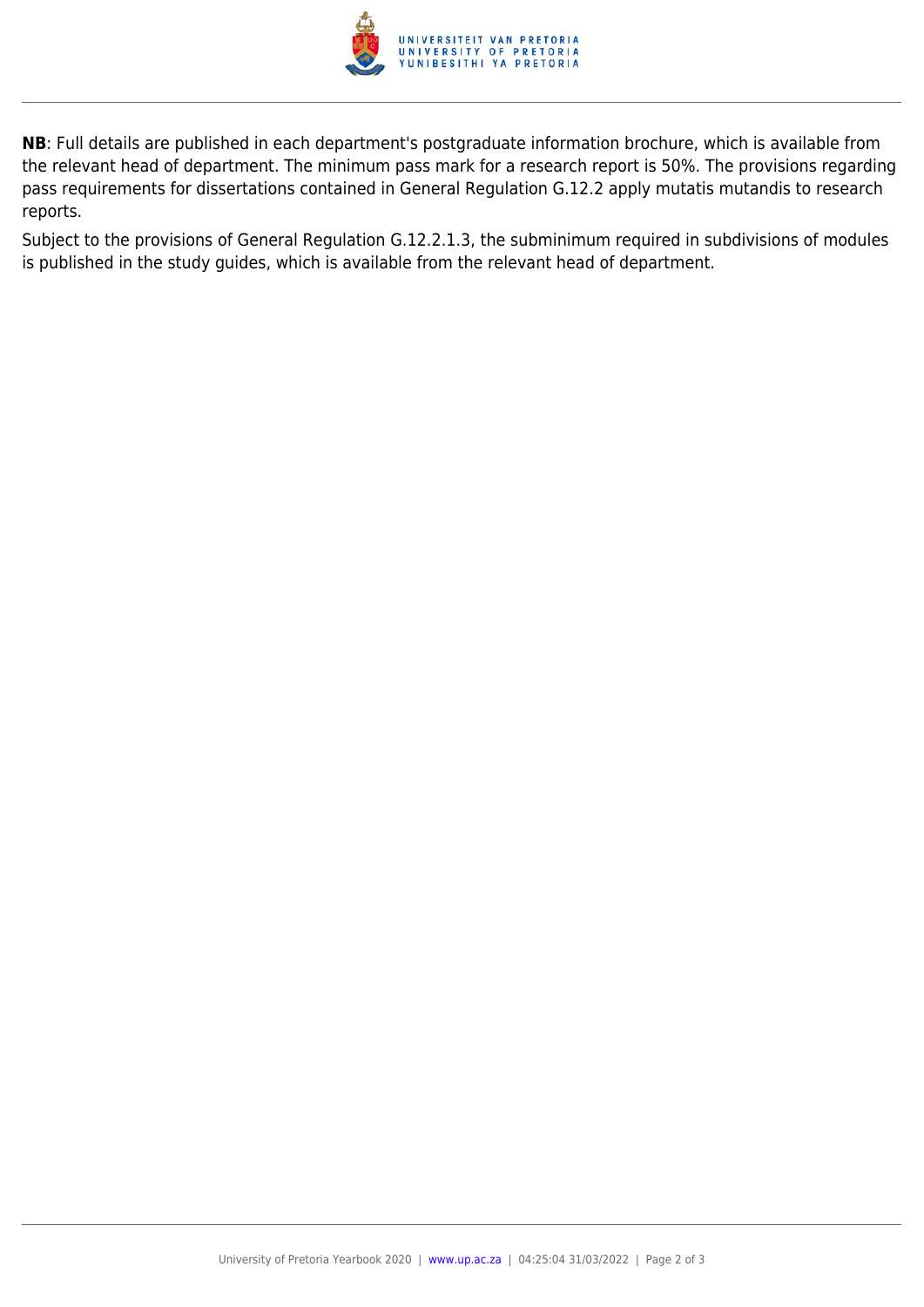

**NB**: Full details are published in each department's postgraduate information brochure, which is available from the relevant head of department. The minimum pass mark for a research report is 50%. The provisions regarding pass requirements for dissertations contained in General Regulation G.12.2 apply mutatis mutandis to research reports.

Subject to the provisions of General Regulation G.12.2.1.3, the subminimum required in subdivisions of modules is published in the study guides, which is available from the relevant head of department.